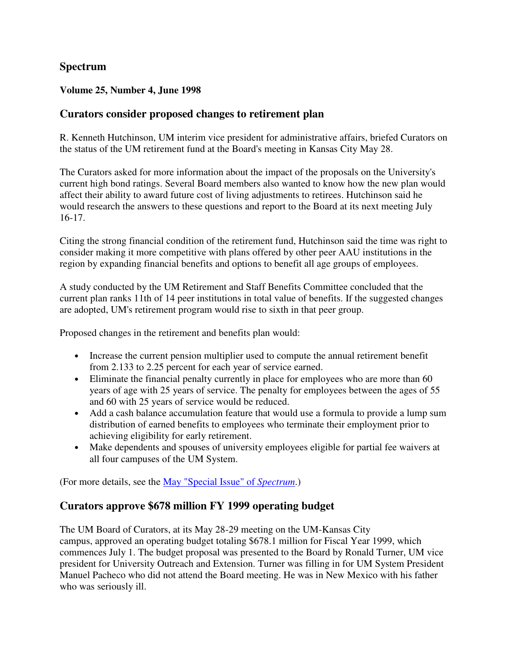### **Spectrum**

### **Volume 25, Number 4, June 1998**

### **Curators consider proposed changes to retirement plan**

R. Kenneth Hutchinson, UM interim vice president for administrative affairs, briefed Curators on the status of the UM retirement fund at the Board's meeting in Kansas City May 28.

The Curators asked for more information about the impact of the proposals on the University's current high bond ratings. Several Board members also wanted to know how the new plan would affect their ability to award future cost of living adjustments to retirees. Hutchinson said he would research the answers to these questions and report to the Board at its next meeting July 16-17.

Citing the strong financial condition of the retirement fund, Hutchinson said the time was right to consider making it more competitive with plans offered by other peer AAU institutions in the region by expanding financial benefits and options to benefit all age groups of employees.

A study conducted by the UM Retirement and Staff Benefits Committee concluded that the current plan ranks 11th of 14 peer institutions in total value of benefits. If the suggested changes are adopted, UM's retirement program would rise to sixth in that peer group.

Proposed changes in the retirement and benefits plan would:

- Increase the current pension multiplier used to compute the annual retirement benefit from 2.133 to 2.25 percent for each year of service earned.
- Eliminate the financial penalty currently in place for employees who are more than 60 years of age with 25 years of service. The penalty for employees between the ages of 55 and 60 with 25 years of service would be reduced.
- Add a cash balance accumulation feature that would use a formula to provide a lump sum distribution of earned benefits to employees who terminate their employment prior to achieving eligibility for early retirement.
- Make dependents and spouses of university employees eligible for partial fee waivers at all four campuses of the UM System.

(For more details, see the May "Special Issue" of *Spectrum*.)

## **Curators approve \$678 million FY 1999 operating budget**

The UM Board of Curators, at its May 28-29 meeting on the UM-Kansas City campus, approved an operating budget totaling \$678.1 million for Fiscal Year 1999, which commences July 1. The budget proposal was presented to the Board by Ronald Turner, UM vice president for University Outreach and Extension. Turner was filling in for UM System President Manuel Pacheco who did not attend the Board meeting. He was in New Mexico with his father who was seriously ill.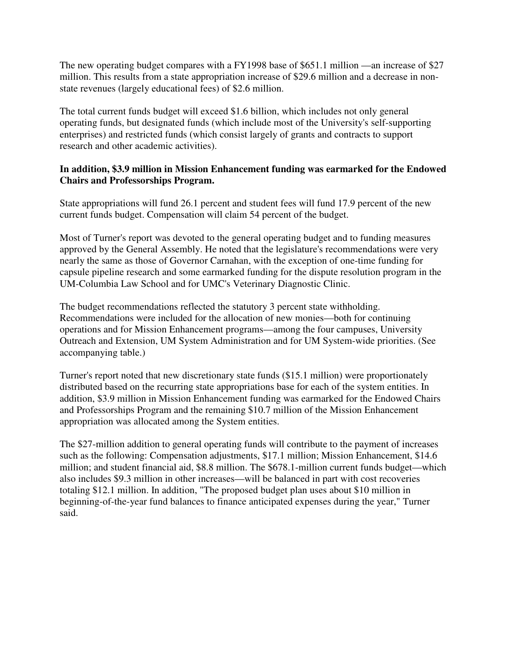The new operating budget compares with a FY1998 base of \$651.1 million —an increase of \$27 million. This results from a state appropriation increase of \$29.6 million and a decrease in nonstate revenues (largely educational fees) of \$2.6 million.

The total current funds budget will exceed \$1.6 billion, which includes not only general operating funds, but designated funds (which include most of the University's self-supporting enterprises) and restricted funds (which consist largely of grants and contracts to support research and other academic activities).

### **In addition, \$3.9 million in Mission Enhancement funding was earmarked for the Endowed Chairs and Professorships Program.**

State appropriations will fund 26.1 percent and student fees will fund 17.9 percent of the new current funds budget. Compensation will claim 54 percent of the budget.

Most of Turner's report was devoted to the general operating budget and to funding measures approved by the General Assembly. He noted that the legislature's recommendations were very nearly the same as those of Governor Carnahan, with the exception of one-time funding for capsule pipeline research and some earmarked funding for the dispute resolution program in the UM-Columbia Law School and for UMC's Veterinary Diagnostic Clinic.

The budget recommendations reflected the statutory 3 percent state withholding. Recommendations were included for the allocation of new monies—both for continuing operations and for Mission Enhancement programs—among the four campuses, University Outreach and Extension, UM System Administration and for UM System-wide priorities. (See accompanying table.)

Turner's report noted that new discretionary state funds (\$15.1 million) were proportionately distributed based on the recurring state appropriations base for each of the system entities. In addition, \$3.9 million in Mission Enhancement funding was earmarked for the Endowed Chairs and Professorships Program and the remaining \$10.7 million of the Mission Enhancement appropriation was allocated among the System entities.

The \$27-million addition to general operating funds will contribute to the payment of increases such as the following: Compensation adjustments, \$17.1 million; Mission Enhancement, \$14.6 million; and student financial aid, \$8.8 million. The \$678.1-million current funds budget—which also includes \$9.3 million in other increases—will be balanced in part with cost recoveries totaling \$12.1 million. In addition, "The proposed budget plan uses about \$10 million in beginning-of-the-year fund balances to finance anticipated expenses during the year," Turner said.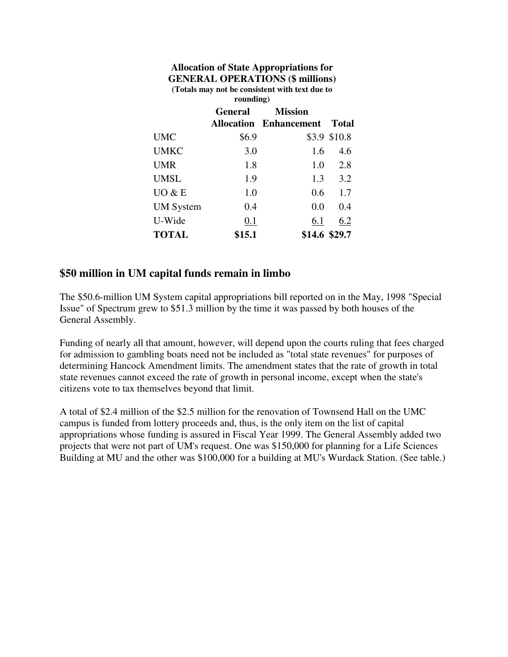| <b>Allocation of State Appropriations for</b><br><b>GENERAL OPERATIONS (\$ millions)</b><br>(Totals may not be consistent with text due to<br>rounding) |         |                               |                 |
|---------------------------------------------------------------------------------------------------------------------------------------------------------|---------|-------------------------------|-----------------|
|                                                                                                                                                         | General | <b>Mission</b>                |                 |
|                                                                                                                                                         |         | <b>Allocation Enhancement</b> | <b>Total</b>    |
| <b>UMC</b>                                                                                                                                              | \$6.9   |                               | \$3.9 \$10.8    |
| <b>UMKC</b>                                                                                                                                             | 3.0     | 1.6                           | 4.6             |
| <b>UMR</b>                                                                                                                                              | 1.8     | 1.0                           | 2.8             |
| <b>UMSL</b>                                                                                                                                             | 1.9     |                               | $1.3 \quad 3.2$ |
| UO & E                                                                                                                                                  | 1.0     |                               | $0.6 \t1.7$     |
| <b>UM</b> System                                                                                                                                        | 0.4     | 0.0                           | 0.4             |
| U-Wide                                                                                                                                                  | 0.1     | 6.1                           | 6.2             |
| <b>TOTAL</b>                                                                                                                                            | \$15.1  |                               | \$14.6 \$29.7   |

### **\$50 million in UM capital funds remain in limbo**

The \$50.6-million UM System capital appropriations bill reported on in the May, 1998 "Special Issue" of Spectrum grew to \$51.3 million by the time it was passed by both houses of the General Assembly.

Funding of nearly all that amount, however, will depend upon the courts ruling that fees charged for admission to gambling boats need not be included as "total state revenues" for purposes of determining Hancock Amendment limits. The amendment states that the rate of growth in total state revenues cannot exceed the rate of growth in personal income, except when the state's citizens vote to tax themselves beyond that limit.

A total of \$2.4 million of the \$2.5 million for the renovation of Townsend Hall on the UMC campus is funded from lottery proceeds and, thus, is the only item on the list of capital appropriations whose funding is assured in Fiscal Year 1999. The General Assembly added two projects that were not part of UM's request. One was \$150,000 for planning for a Life Sciences Building at MU and the other was \$100,000 for a building at MU's Wurdack Station. (See table.)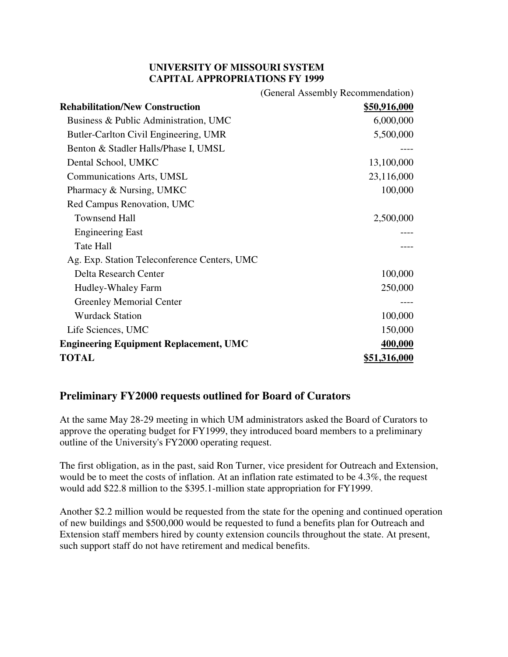### **UNIVERSITY OF MISSOURI SYSTEM CAPITAL APPROPRIATIONS FY 1999**

|                                               | (General Assembly Recommendation) |
|-----------------------------------------------|-----------------------------------|
| <b>Rehabilitation/New Construction</b>        | <u>\$50,916,000</u>               |
| Business & Public Administration, UMC         | 6,000,000                         |
| Butler-Carlton Civil Engineering, UMR         | 5,500,000                         |
| Benton & Stadler Halls/Phase I, UMSL          |                                   |
| Dental School, UMKC                           | 13,100,000                        |
| Communications Arts, UMSL                     | 23,116,000                        |
| Pharmacy & Nursing, UMKC                      | 100,000                           |
| Red Campus Renovation, UMC                    |                                   |
| <b>Townsend Hall</b>                          | 2,500,000                         |
| <b>Engineering East</b>                       |                                   |
| Tate Hall                                     |                                   |
| Ag. Exp. Station Teleconference Centers, UMC  |                                   |
| Delta Research Center                         | 100,000                           |
| Hudley-Whaley Farm                            | 250,000                           |
| <b>Greenley Memorial Center</b>               |                                   |
| <b>Wurdack Station</b>                        | 100,000                           |
| Life Sciences, UMC                            | 150,000                           |
| <b>Engineering Equipment Replacement, UMC</b> | 400,000                           |
| <b>TOTAL</b>                                  | <u>\$51,316,000</u>               |

### **Preliminary FY2000 requests outlined for Board of Curators**

At the same May 28-29 meeting in which UM administrators asked the Board of Curators to approve the operating budget for FY1999, they introduced board members to a preliminary outline of the University's FY2000 operating request.

The first obligation, as in the past, said Ron Turner, vice president for Outreach and Extension, would be to meet the costs of inflation. At an inflation rate estimated to be 4.3%, the request would add \$22.8 million to the \$395.1-million state appropriation for FY1999.

Another \$2.2 million would be requested from the state for the opening and continued operation of new buildings and \$500,000 would be requested to fund a benefits plan for Outreach and Extension staff members hired by county extension councils throughout the state. At present, such support staff do not have retirement and medical benefits.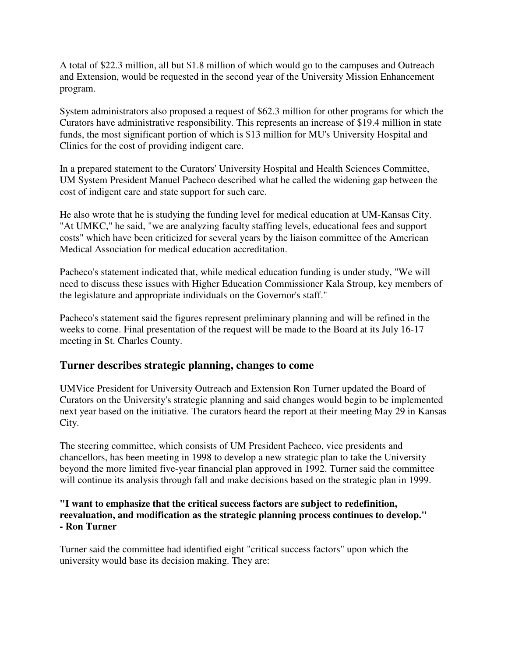A total of \$22.3 million, all but \$1.8 million of which would go to the campuses and Outreach and Extension, would be requested in the second year of the University Mission Enhancement program.

System administrators also proposed a request of \$62.3 million for other programs for which the Curators have administrative responsibility. This represents an increase of \$19.4 million in state funds, the most significant portion of which is \$13 million for MU's University Hospital and Clinics for the cost of providing indigent care.

In a prepared statement to the Curators' University Hospital and Health Sciences Committee, UM System President Manuel Pacheco described what he called the widening gap between the cost of indigent care and state support for such care.

He also wrote that he is studying the funding level for medical education at UM-Kansas City. "At UMKC," he said, "we are analyzing faculty staffing levels, educational fees and support costs" which have been criticized for several years by the liaison committee of the American Medical Association for medical education accreditation.

Pacheco's statement indicated that, while medical education funding is under study, "We will need to discuss these issues with Higher Education Commissioner Kala Stroup, key members of the legislature and appropriate individuals on the Governor's staff."

Pacheco's statement said the figures represent preliminary planning and will be refined in the weeks to come. Final presentation of the request will be made to the Board at its July 16-17 meeting in St. Charles County.

### **Turner describes strategic planning, changes to come**

UMVice President for University Outreach and Extension Ron Turner updated the Board of Curators on the University's strategic planning and said changes would begin to be implemented next year based on the initiative. The curators heard the report at their meeting May 29 in Kansas City.

The steering committee, which consists of UM President Pacheco, vice presidents and chancellors, has been meeting in 1998 to develop a new strategic plan to take the University beyond the more limited five-year financial plan approved in 1992. Turner said the committee will continue its analysis through fall and make decisions based on the strategic plan in 1999.

### **"I want to emphasize that the critical success factors are subject to redefinition, reevaluation, and modification as the strategic planning process continues to develop." - Ron Turner**

Turner said the committee had identified eight "critical success factors" upon which the university would base its decision making. They are: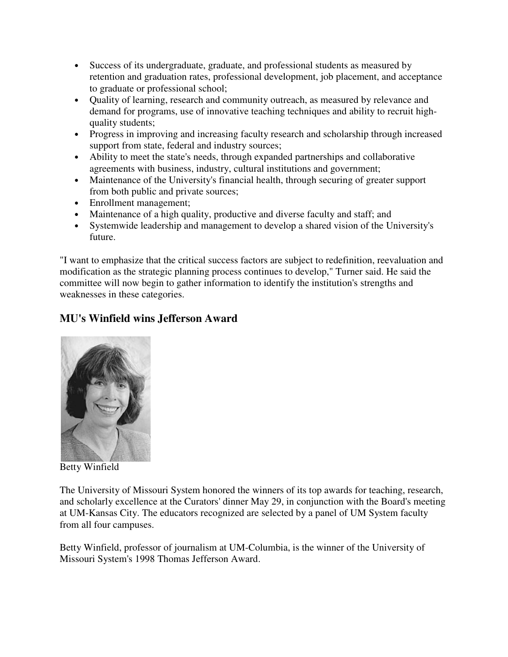- Success of its undergraduate, graduate, and professional students as measured by retention and graduation rates, professional development, job placement, and acceptance to graduate or professional school;
- Quality of learning, research and community outreach, as measured by relevance and demand for programs, use of innovative teaching techniques and ability to recruit highquality students;
- Progress in improving and increasing faculty research and scholarship through increased support from state, federal and industry sources;
- Ability to meet the state's needs, through expanded partnerships and collaborative agreements with business, industry, cultural institutions and government;
- Maintenance of the University's financial health, through securing of greater support from both public and private sources;
- Enrollment management;
- Maintenance of a high quality, productive and diverse faculty and staff; and
- Systemwide leadership and management to develop a shared vision of the University's future.

"I want to emphasize that the critical success factors are subject to redefinition, reevaluation and modification as the strategic planning process continues to develop," Turner said. He said the committee will now begin to gather information to identify the institution's strengths and weaknesses in these categories.

# **MU's Winfield wins Jefferson Award**



Betty Winfield

The University of Missouri System honored the winners of its top awards for teaching, research, and scholarly excellence at the Curators' dinner May 29, in conjunction with the Board's meeting at UM-Kansas City. The educators recognized are selected by a panel of UM System faculty from all four campuses.

Betty Winfield, professor of journalism at UM-Columbia, is the winner of the University of Missouri System's 1998 Thomas Jefferson Award.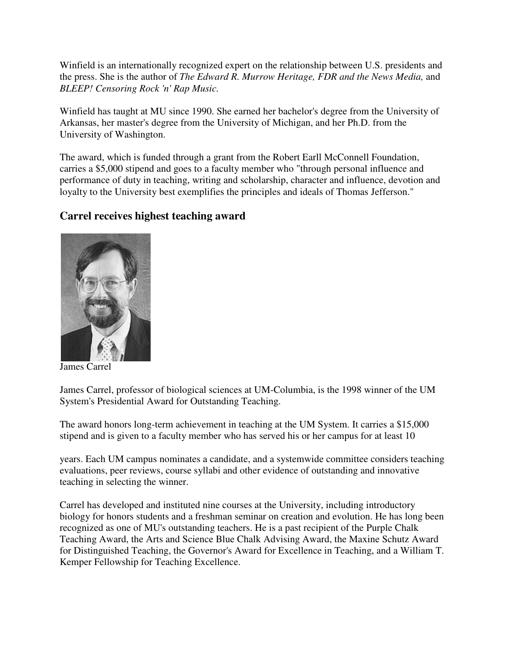Winfield is an internationally recognized expert on the relationship between U.S. presidents and the press. She is the author of *The Edward R. Murrow Heritage, FDR and the News Media,* and *BLEEP! Censoring Rock 'n' Rap Music.*

Winfield has taught at MU since 1990. She earned her bachelor's degree from the University of Arkansas, her master's degree from the University of Michigan, and her Ph.D. from the University of Washington.

The award, which is funded through a grant from the Robert Earll McConnell Foundation, carries a \$5,000 stipend and goes to a faculty member who "through personal influence and performance of duty in teaching, writing and scholarship, character and influence, devotion and loyalty to the University best exemplifies the principles and ideals of Thomas Jefferson."

## **Carrel receives highest teaching award**



James Carrel

James Carrel, professor of biological sciences at UM-Columbia, is the 1998 winner of the UM System's Presidential Award for Outstanding Teaching.

The award honors long-term achievement in teaching at the UM System. It carries a \$15,000 stipend and is given to a faculty member who has served his or her campus for at least 10

years. Each UM campus nominates a candidate, and a systemwide committee considers teaching evaluations, peer reviews, course syllabi and other evidence of outstanding and innovative teaching in selecting the winner.

Carrel has developed and instituted nine courses at the University, including introductory biology for honors students and a freshman seminar on creation and evolution. He has long been recognized as one of MU's outstanding teachers. He is a past recipient of the Purple Chalk Teaching Award, the Arts and Science Blue Chalk Advising Award, the Maxine Schutz Award for Distinguished Teaching, the Governor's Award for Excellence in Teaching, and a William T. Kemper Fellowship for Teaching Excellence.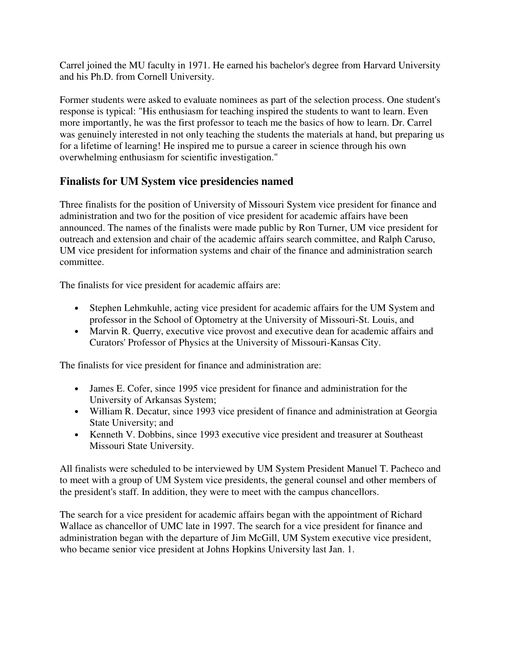Carrel joined the MU faculty in 1971. He earned his bachelor's degree from Harvard University and his Ph.D. from Cornell University.

Former students were asked to evaluate nominees as part of the selection process. One student's response is typical: "His enthusiasm for teaching inspired the students to want to learn. Even more importantly, he was the first professor to teach me the basics of how to learn. Dr. Carrel was genuinely interested in not only teaching the students the materials at hand, but preparing us for a lifetime of learning! He inspired me to pursue a career in science through his own overwhelming enthusiasm for scientific investigation."

## **Finalists for UM System vice presidencies named**

Three finalists for the position of University of Missouri System vice president for finance and administration and two for the position of vice president for academic affairs have been announced. The names of the finalists were made public by Ron Turner, UM vice president for outreach and extension and chair of the academic affairs search committee, and Ralph Caruso, UM vice president for information systems and chair of the finance and administration search committee.

The finalists for vice president for academic affairs are:

- Stephen Lehmkuhle, acting vice president for academic affairs for the UM System and professor in the School of Optometry at the University of Missouri-St. Louis, and
- Marvin R. Querry, executive vice provost and executive dean for academic affairs and Curators' Professor of Physics at the University of Missouri-Kansas City.

The finalists for vice president for finance and administration are:

- James E. Cofer, since 1995 vice president for finance and administration for the University of Arkansas System;
- William R. Decatur, since 1993 vice president of finance and administration at Georgia State University; and
- Kenneth V. Dobbins, since 1993 executive vice president and treasurer at Southeast Missouri State University.

All finalists were scheduled to be interviewed by UM System President Manuel T. Pacheco and to meet with a group of UM System vice presidents, the general counsel and other members of the president's staff. In addition, they were to meet with the campus chancellors.

The search for a vice president for academic affairs began with the appointment of Richard Wallace as chancellor of UMC late in 1997. The search for a vice president for finance and administration began with the departure of Jim McGill, UM System executive vice president, who became senior vice president at Johns Hopkins University last Jan. 1.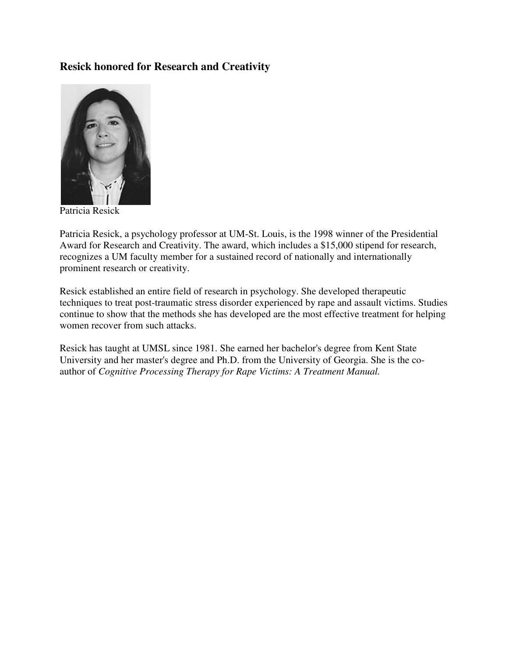## **Resick honored for Research and Creativity**



Patricia Resick

Patricia Resick, a psychology professor at UM-St. Louis, is the 1998 winner of the Presidential Award for Research and Creativity. The award, which includes a \$15,000 stipend for research, recognizes a UM faculty member for a sustained record of nationally and internationally prominent research or creativity.

Resick established an entire field of research in psychology. She developed therapeutic techniques to treat post-traumatic stress disorder experienced by rape and assault victims. Studies continue to show that the methods she has developed are the most effective treatment for helping women recover from such attacks.

Resick has taught at UMSL since 1981. She earned her bachelor's degree from Kent State University and her master's degree and Ph.D. from the University of Georgia. She is the coauthor of *Cognitive Processing Therapy for Rape Victims: A Treatment Manual.*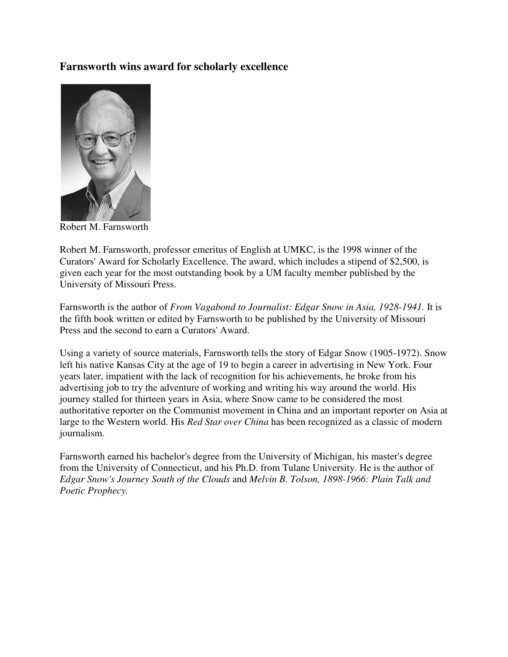### **Farnsworth wins award for scholarly excellence**



Robert M. Farnsworth

Robert M. Farnsworth, professor emeritus of English at UMKC, is the 1998 winner of the Curators' Award for Scholarly Excellence. The award, which includes a stipend of \$2,500, is given each year for the most outstanding book by a UM faculty member published by the University of Missouri Press.

Farnsworth is the author of *From Vagabond to Journalist: Edgar Snow in Asia, 1928-1941.* It is the fifth book written or edited by Farnsworth to be published by the University of Missouri Press and the second to earn a Curators' Award.

Using a variety of source materials, Farnsworth tells the story of Edgar Snow (1905-1972). Snow left his native Kansas City at the age of 19 to begin a career in advertising in New York. Four years later, impatient with the lack of recognition for his achievements, he broke from his advertising job to try the adventure of working and writing his way around the world. His journey stalled for thirteen years in Asia, where Snow came to be considered the most authoritative reporter on the Communist movement in China and an important reporter on Asia at large to the Western world. His *Red Star over China* has been recognized as a classic of modern journalism.

Farnsworth earned his bachelor's degree from the University of Michigan, his master's degree from the University of Connecticut, and his Ph.D. from Tulane University. He is the author of *Edgar Snow's Journey South of the Clouds* and *Melvin B. Tolson, 1898-1966: Plain Talk and Poetic Prophecy.*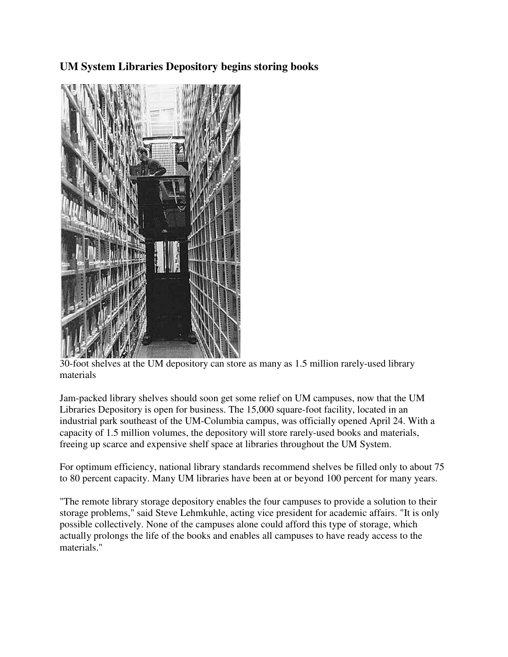## **UM System Libraries Depository begins storing books**



30-foot shelves at the UM depository can store as many as 1.5 million rarely-used library materials

Jam-packed library shelves should soon get some relief on UM campuses, now that the UM Libraries Depository is open for business. The 15,000 square-foot facility, located in an industrial park southeast of the UM-Columbia campus, was officially opened April 24. With a capacity of 1.5 million volumes, the depository will store rarely-used books and materials, freeing up scarce and expensive shelf space at libraries throughout the UM System.

For optimum efficiency, national library standards recommend shelves be filled only to about 75 to 80 percent capacity. Many UM libraries have been at or beyond 100 percent for many years.

"The remote library storage depository enables the four campuses to provide a solution to their storage problems," said Steve Lehmkuhle, acting vice president for academic affairs. "It is only possible collectively. None of the campuses alone could afford this type of storage, which actually prolongs the life of the books and enables all campuses to have ready access to the materials."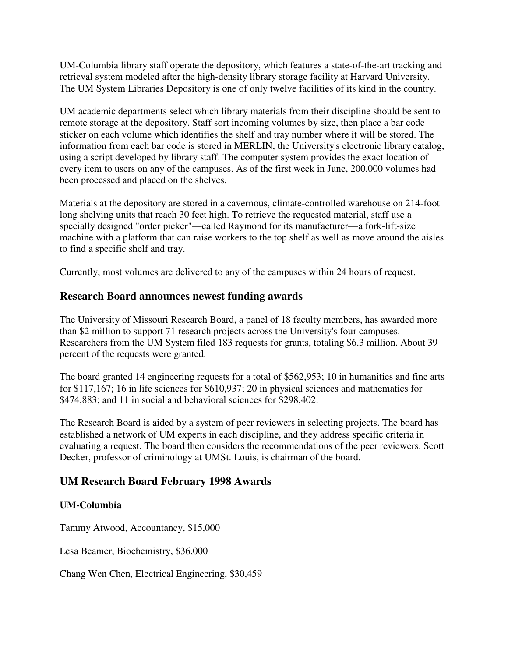UM-Columbia library staff operate the depository, which features a state-of-the-art tracking and retrieval system modeled after the high-density library storage facility at Harvard University. The UM System Libraries Depository is one of only twelve facilities of its kind in the country.

UM academic departments select which library materials from their discipline should be sent to remote storage at the depository. Staff sort incoming volumes by size, then place a bar code sticker on each volume which identifies the shelf and tray number where it will be stored. The information from each bar code is stored in MERLIN, the University's electronic library catalog, using a script developed by library staff. The computer system provides the exact location of every item to users on any of the campuses. As of the first week in June, 200,000 volumes had been processed and placed on the shelves.

Materials at the depository are stored in a cavernous, climate-controlled warehouse on 214-foot long shelving units that reach 30 feet high. To retrieve the requested material, staff use a specially designed "order picker"—called Raymond for its manufacturer—a fork-lift-size machine with a platform that can raise workers to the top shelf as well as move around the aisles to find a specific shelf and tray.

Currently, most volumes are delivered to any of the campuses within 24 hours of request.

### **Research Board announces newest funding awards**

The University of Missouri Research Board, a panel of 18 faculty members, has awarded more than \$2 million to support 71 research projects across the University's four campuses. Researchers from the UM System filed 183 requests for grants, totaling \$6.3 million. About 39 percent of the requests were granted.

The board granted 14 engineering requests for a total of \$562,953; 10 in humanities and fine arts for \$117,167; 16 in life sciences for \$610,937; 20 in physical sciences and mathematics for \$474,883; and 11 in social and behavioral sciences for \$298,402.

The Research Board is aided by a system of peer reviewers in selecting projects. The board has established a network of UM experts in each discipline, and they address specific criteria in evaluating a request. The board then considers the recommendations of the peer reviewers. Scott Decker, professor of criminology at UMSt. Louis, is chairman of the board.

## **UM Research Board February 1998 Awards**

### **UM-Columbia**

Tammy Atwood, Accountancy, \$15,000

Lesa Beamer, Biochemistry, \$36,000

Chang Wen Chen, Electrical Engineering, \$30,459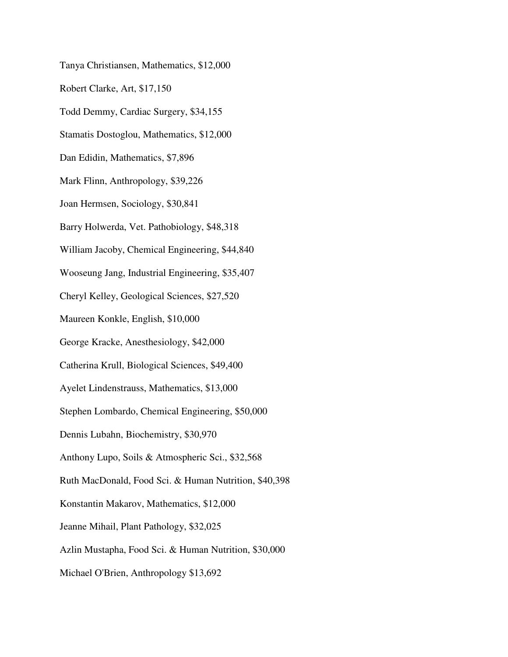Tanya Christiansen, Mathematics, \$12,000 Robert Clarke, Art, \$17,150 Todd Demmy, Cardiac Surgery, \$34,155 Stamatis Dostoglou, Mathematics, \$12,000 Dan Edidin, Mathematics, \$7,896 Mark Flinn, Anthropology, \$39,226 Joan Hermsen, Sociology, \$30,841 Barry Holwerda, Vet. Pathobiology, \$48,318 William Jacoby, Chemical Engineering, \$44,840 Wooseung Jang, Industrial Engineering, \$35,407 Cheryl Kelley, Geological Sciences, \$27,520 Maureen Konkle, English, \$10,000 George Kracke, Anesthesiology, \$42,000 Catherina Krull, Biological Sciences, \$49,400 Ayelet Lindenstrauss, Mathematics, \$13,000 Stephen Lombardo, Chemical Engineering, \$50,000 Dennis Lubahn, Biochemistry, \$30,970 Anthony Lupo, Soils & Atmospheric Sci., \$32,568 Ruth MacDonald, Food Sci. & Human Nutrition, \$40,398 Konstantin Makarov, Mathematics, \$12,000 Jeanne Mihail, Plant Pathology, \$32,025 Azlin Mustapha, Food Sci. & Human Nutrition, \$30,000 Michael O'Brien, Anthropology \$13,692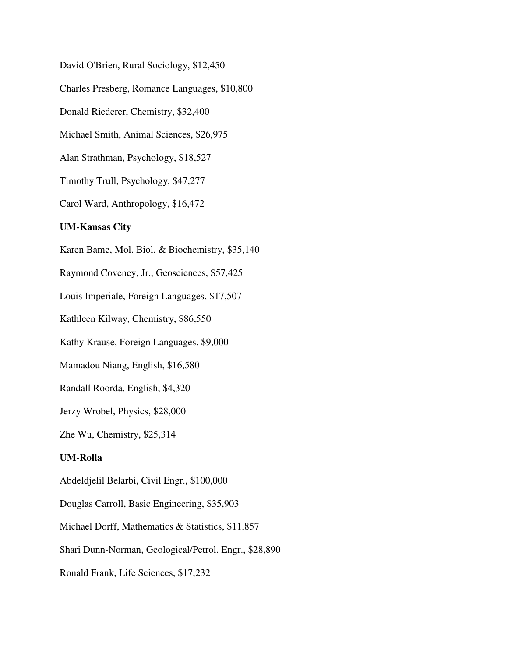David O'Brien, Rural Sociology, \$12,450 Charles Presberg, Romance Languages, \$10,800 Donald Riederer, Chemistry, \$32,400 Michael Smith, Animal Sciences, \$26,975 Alan Strathman, Psychology, \$18,527 Timothy Trull, Psychology, \$47,277 Carol Ward, Anthropology, \$16,472 **UM-Kansas City**  Karen Bame, Mol. Biol. & Biochemistry, \$35,140 Raymond Coveney, Jr., Geosciences, \$57,425 Louis Imperiale, Foreign Languages, \$17,507 Kathleen Kilway, Chemistry, \$86,550 Kathy Krause, Foreign Languages, \$9,000 Mamadou Niang, English, \$16,580 Randall Roorda, English, \$4,320 Jerzy Wrobel, Physics, \$28,000 Zhe Wu, Chemistry, \$25,314 **UM-Rolla**  Abdeldjelil Belarbi, Civil Engr., \$100,000 Douglas Carroll, Basic Engineering, \$35,903 Michael Dorff, Mathematics & Statistics, \$11,857 Shari Dunn-Norman, Geological/Petrol. Engr., \$28,890

Ronald Frank, Life Sciences, \$17,232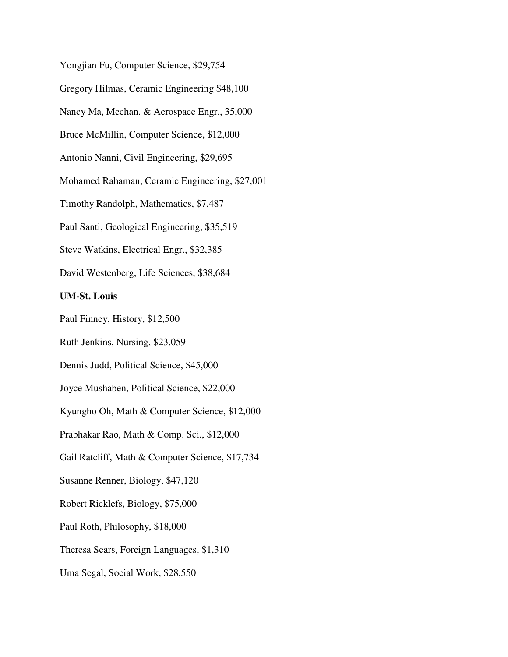Yongjian Fu, Computer Science, \$29,754

Gregory Hilmas, Ceramic Engineering \$48,100

Nancy Ma, Mechan. & Aerospace Engr., 35,000

Bruce McMillin, Computer Science, \$12,000

Antonio Nanni, Civil Engineering, \$29,695

Mohamed Rahaman, Ceramic Engineering, \$27,001

Timothy Randolph, Mathematics, \$7,487

Paul Santi, Geological Engineering, \$35,519

Steve Watkins, Electrical Engr., \$32,385

David Westenberg, Life Sciences, \$38,684

#### **UM-St. Louis**

Paul Finney, History, \$12,500

Ruth Jenkins, Nursing, \$23,059

Dennis Judd, Political Science, \$45,000

Joyce Mushaben, Political Science, \$22,000

Kyungho Oh, Math & Computer Science, \$12,000

Prabhakar Rao, Math & Comp. Sci., \$12,000

Gail Ratcliff, Math & Computer Science, \$17,734

Susanne Renner, Biology, \$47,120

Robert Ricklefs, Biology, \$75,000

Paul Roth, Philosophy, \$18,000

Theresa Sears, Foreign Languages, \$1,310

Uma Segal, Social Work, \$28,550